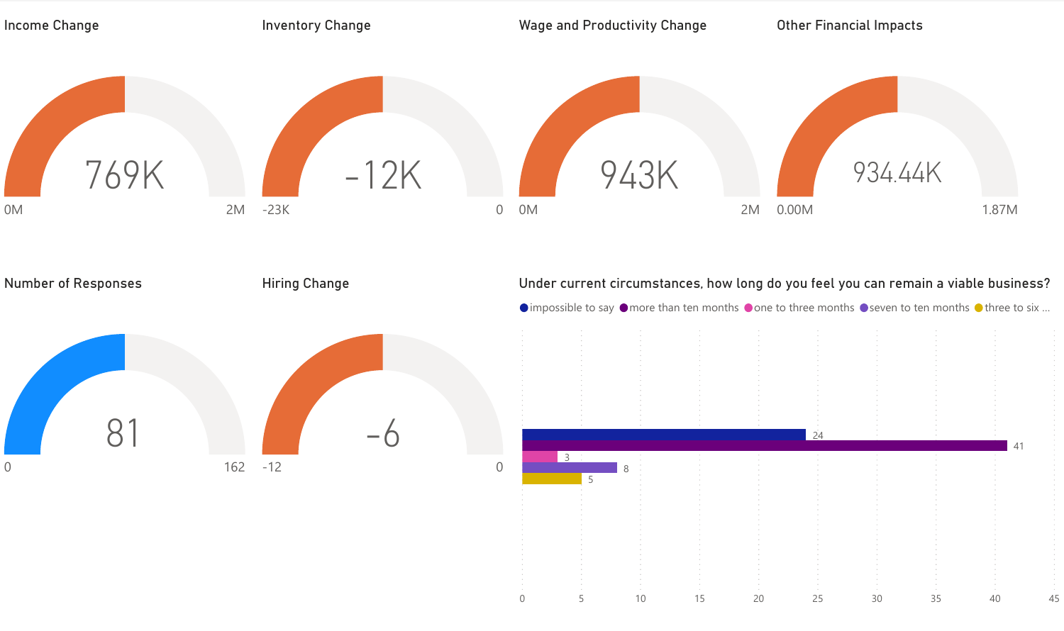